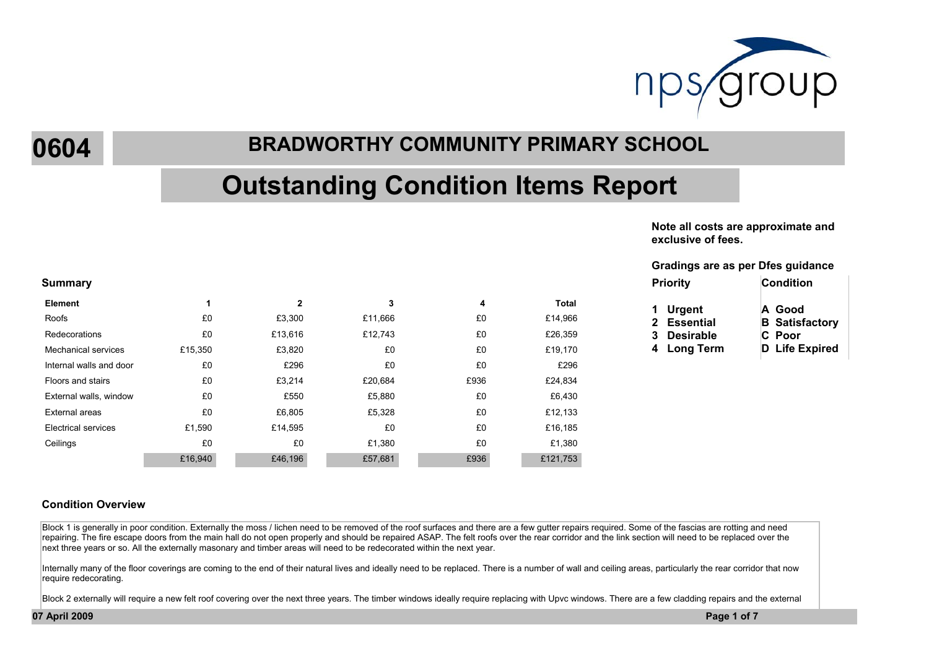

**0604**

## **BRADWORTHY COMMUNITY PRIMARY SCHOOL**

# **Outstanding Condition Items Report**

**Note all costs are approximate and exclusive of fees.**

### **Gradings are as per Dfes guidance**

| <b>Priority</b> | <b>Condition</b>      |
|-----------------|-----------------------|
| 1 Urgent        | A Good                |
| 2 Essential     | <b>B</b> Satisfactory |
| 3 Desirable     | C Poor                |
| 4 Long Term     | <b>D</b> Life Expired |

#### **Summary Priority**

| <b>Element</b>             |         | 2       | 3       | 4    | <b>Total</b> |
|----------------------------|---------|---------|---------|------|--------------|
| Roofs                      | £0      | £3,300  | £11,666 | £0   | £14,966      |
| Redecorations              | £0      | £13,616 | £12,743 | £0   | £26,359      |
| <b>Mechanical services</b> | £15,350 | £3,820  | £0      | £0   | £19,170      |
| Internal walls and door    | £0      | £296    | £0      | £0   | £296         |
| Floors and stairs          | £0      | £3,214  | £20,684 | £936 | £24,834      |
| External walls, window     | £0      | £550    | £5,880  | £0   | £6,430       |
| External areas             | £0      | £6,805  | £5,328  | £0   | £12,133      |
| Electrical services        | £1,590  | £14.595 | £0      | £0   | £16,185      |
| Ceilings                   | £0      | £0      | £1,380  | £0   | £1,380       |
|                            | £16,940 | £46,196 | £57,681 | £936 | £121,753     |

Block 1 is generally in poor condition. Externally the moss / lichen need to be removed of the roof surfaces and there are a few gutter repairs reguired. Some of the fascias are rotting and need repairing. The fire escape doors from the main hall do not open properly and should be repaired ASAP. The felt roofs over the rear corridor and the link section will need to be replaced over the next three years or so. All the externally masonary and timber areas will need to be redecorated within the next year.

Internally many of the floor coverings are coming to the end of their natural lives and ideally need to be replaced. There is a number of wall and ceiling areas, particularly the rear corridor that now require redecorating.

Block 2 externally will require a new felt roof covering over the next three years. The timber windows ideally require replacing with Upvc windows. There are a few cladding repairs and the external

**07 April 2009 Page 1 of 7**

**Condition Overview**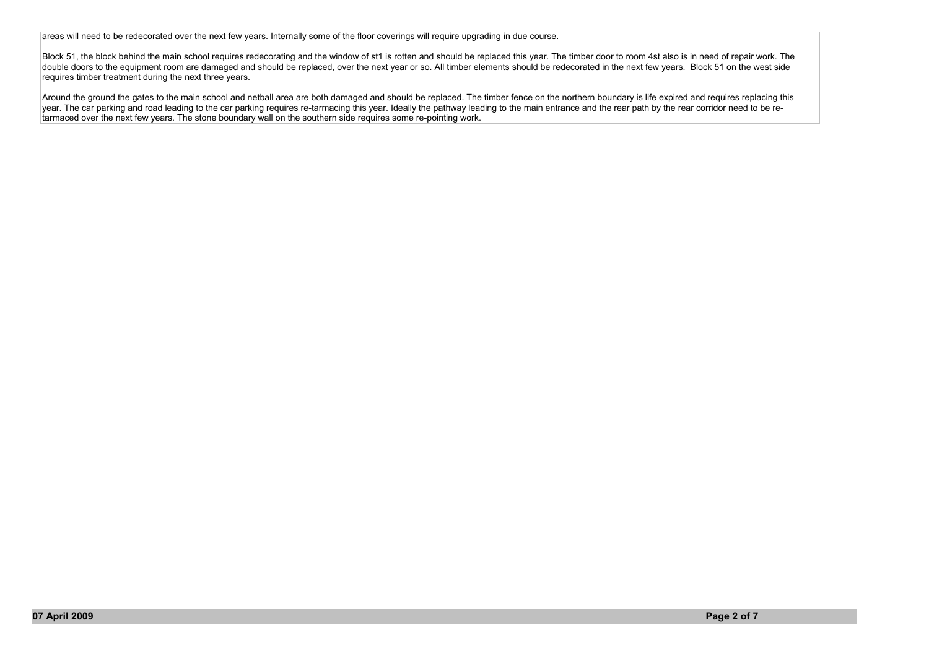areas will need to be redecorated over the next few years. Internally some of the floor coverings will require upgrading in due course.

Block 51, the block behind the main school requires redecorating and the window of st1 is rotten and should be replaced this year. The timber door to room 4st also is in need of repair work. The double doors to the equipment room are damaged and should be replaced, over the next year or so. All timber elements should be redecorated in the next few years. Block 51 on the west side requires timber treatment during the next three years.

Around the ground the gates to the main school and netball area are both damaged and should be replaced. The timber fence on the northern boundary is life expired and requires replacing this year. The car parking and road leading to the car parking requires re-tarmacing this year. Ideally the pathway leading to the main entrance and the rear path by the rear corridor need to be retarmaced over the next few years. The stone boundary wall on the southern side requires some re-pointing work.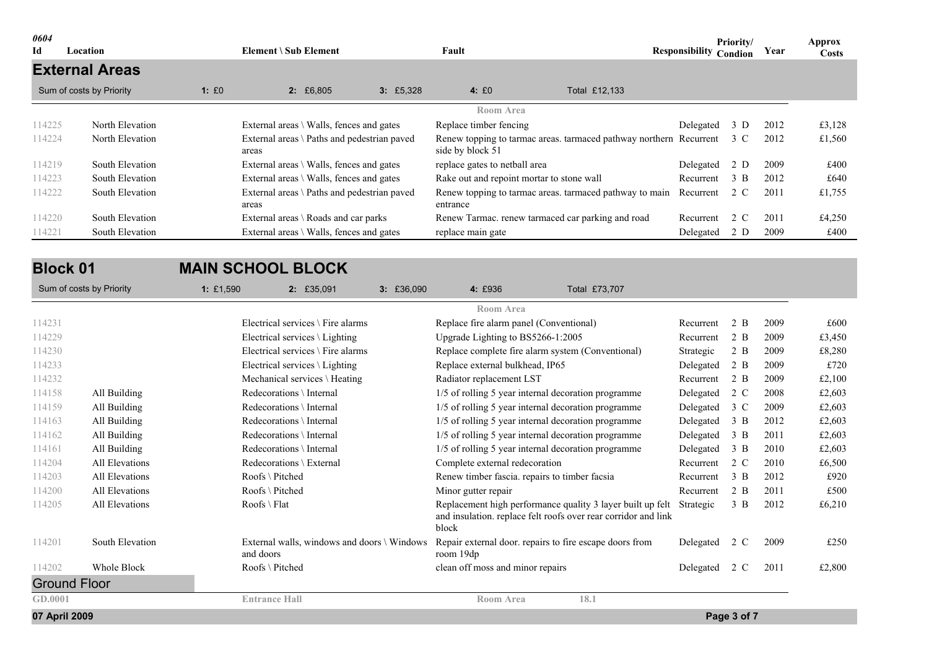| 0604<br>Id | Location                 |       | Element \ Sub Element                                |          | Fault                                     |                                                                        | <b>Responsibility Condion</b> | Priority/     | Year | Approx<br><b>Costs</b> |
|------------|--------------------------|-------|------------------------------------------------------|----------|-------------------------------------------|------------------------------------------------------------------------|-------------------------------|---------------|------|------------------------|
|            | <b>External Areas</b>    |       |                                                      |          |                                           |                                                                        |                               |               |      |                        |
|            | Sum of costs by Priority | 1: E0 | 2:£6,805                                             | 3:£5,328 | 4:£0                                      | Total £12,133                                                          |                               |               |      |                        |
|            |                          |       |                                                      |          | Room Area                                 |                                                                        |                               |               |      |                        |
| 114225     | North Elevation          |       | External areas $\setminus$ Walls, fences and gates   |          | Replace timber fencing                    |                                                                        | Delegated 3 D                 |               | 2012 | £3,128                 |
| 114224     | North Elevation          |       | External areas \ Paths and pedestrian paved<br>areas |          | side by block 51                          | Renew topping to tarmac areas. tarmaced pathway northern Recurrent 3 C |                               |               | 2012 | £1,560                 |
| 114219     | South Elevation          |       | External areas $\setminus$ Walls, fences and gates   |          | replace gates to netball area             |                                                                        | Delegated                     | 2 D           | 2009 | £400                   |
| 114223     | South Elevation          |       | External areas $\setminus$ Walls, fences and gates   |          | Rake out and repoint mortar to stone wall |                                                                        | Recurrent                     | $3 \text{ B}$ | 2012 | £640                   |
| 114222     | South Elevation          |       | External areas \ Paths and pedestrian paved<br>areas |          | entrance                                  | Renew topping to tarmac areas, tarmaced pathway to main                | Recurrent 2 C                 |               | 2011 | £1,755                 |
| 114220     | South Elevation          |       | External areas $\setminus$ Roads and car parks       |          |                                           | Renew Tarmac, renew tarmaced car parking and road                      | Recurrent                     | 2 C           | 2011 | £4,250                 |
| 114221     | South Elevation          |       | External areas $\setminus$ Walls, fences and gates   |          | replace main gate                         |                                                                        | Delegated                     | 2 D           | 2009 | £400                   |
|            |                          |       |                                                      |          |                                           |                                                                        |                               |               |      |                        |

| <b>Block 01</b>          |                 | <b>MAIN SCHOOL BLOCK</b> |                                             |            |                                                                      |                                                                                                                              |               |               |      |        |
|--------------------------|-----------------|--------------------------|---------------------------------------------|------------|----------------------------------------------------------------------|------------------------------------------------------------------------------------------------------------------------------|---------------|---------------|------|--------|
| Sum of costs by Priority |                 | 1: £1,590                | $2: \£35,091$                               | 3: £36,090 | 4: £936                                                              | Total £73,707                                                                                                                |               |               |      |        |
|                          |                 |                          |                                             |            | <b>Room Area</b>                                                     |                                                                                                                              |               |               |      |        |
| 114231                   |                 |                          | Electrical services $\setminus$ Fire alarms |            | Replace fire alarm panel (Conventional)                              |                                                                                                                              | Recurrent     | 2 B           | 2009 | £600   |
| 114229                   |                 |                          | Electrical services $\setminus$ Lighting    |            | Upgrade Lighting to BS5266-1:2005                                    |                                                                                                                              | Recurrent     | 2 B           | 2009 | £3,450 |
| 114230                   |                 |                          | Electrical services $\setminus$ Fire alarms |            | Replace complete fire alarm system (Conventional)                    |                                                                                                                              | Strategic     | 2 B           | 2009 | £8,280 |
| 114233                   |                 |                          | Electrical services \ Lighting              |            | Replace external bulkhead, IP65                                      |                                                                                                                              | Delegated     | 2 B           | 2009 | £720   |
| 114232                   |                 |                          | Mechanical services \ Heating               |            | Radiator replacement LST                                             |                                                                                                                              | Recurrent     | 2 B           | 2009 | £2,100 |
| 114158                   | All Building    |                          | Redecorations \ Internal                    |            | 1/5 of rolling 5 year internal decoration programme                  |                                                                                                                              | Delegated     | 2 C           | 2008 | £2,603 |
| 114159                   | All Building    |                          | Redecorations \ Internal                    |            | 1/5 of rolling 5 year internal decoration programme                  |                                                                                                                              | Delegated     | 3 C           | 2009 | £2,603 |
| 114163                   | All Building    |                          | Redecorations \ Internal                    |            | 1/5 of rolling 5 year internal decoration programme                  |                                                                                                                              | Delegated     | 3 B           | 2012 | £2,603 |
| 114162                   | All Building    |                          | Redecorations \ Internal                    |            | 1/5 of rolling 5 year internal decoration programme                  |                                                                                                                              | Delegated     | 3 B           | 2011 | £2,603 |
| 114161                   | All Building    |                          | Redecorations \ Internal                    |            | 1/5 of rolling 5 year internal decoration programme                  |                                                                                                                              | Delegated     | 3 B           | 2010 | £2,603 |
| 114204                   | All Elevations  |                          | Redecorations $\setminus$ External          |            | Complete external redecoration                                       |                                                                                                                              | Recurrent     | 2 C           | 2010 | £6,500 |
| 114203                   | All Elevations  |                          | $Roots \setminus Pitched$                   |            | Renew timber fascia. repairs to timber facsia                        |                                                                                                                              | Recurrent     | $3 \text{ B}$ | 2012 | £920   |
| 114200                   | All Elevations  |                          | $Roots \setminus Pitched$                   |            | Minor gutter repair                                                  |                                                                                                                              | Recurrent     | 2 B           | 2011 | £500   |
| 114205                   | All Elevations  |                          | $Roots \setminus Flat$                      |            | block                                                                | Replacement high performance quality 3 layer built up felt<br>and insulation. replace felt roofs over rear corridor and link | Strategic     | $3 \text{ B}$ | 2012 | £6,210 |
| 114201                   | South Elevation | and doors                | External walls, windows and doors \ Windows |            | Repair external door. repairs to fire escape doors from<br>room 19dp |                                                                                                                              | Delegated     | 2 C           | 2009 | £250   |
| 114202                   | Whole Block     |                          | Roofs \ Pitched                             |            | clean off moss and minor repairs                                     |                                                                                                                              | Delegated 2 C |               | 2011 | £2,800 |
| <b>Ground Floor</b>      |                 |                          |                                             |            |                                                                      |                                                                                                                              |               |               |      |        |
| GD.0001                  |                 |                          | <b>Entrance Hall</b>                        |            | <b>Room Area</b>                                                     | 18.1                                                                                                                         |               |               |      |        |
| 07 April 2009            |                 |                          |                                             |            |                                                                      |                                                                                                                              |               | Page 3 of 7   |      |        |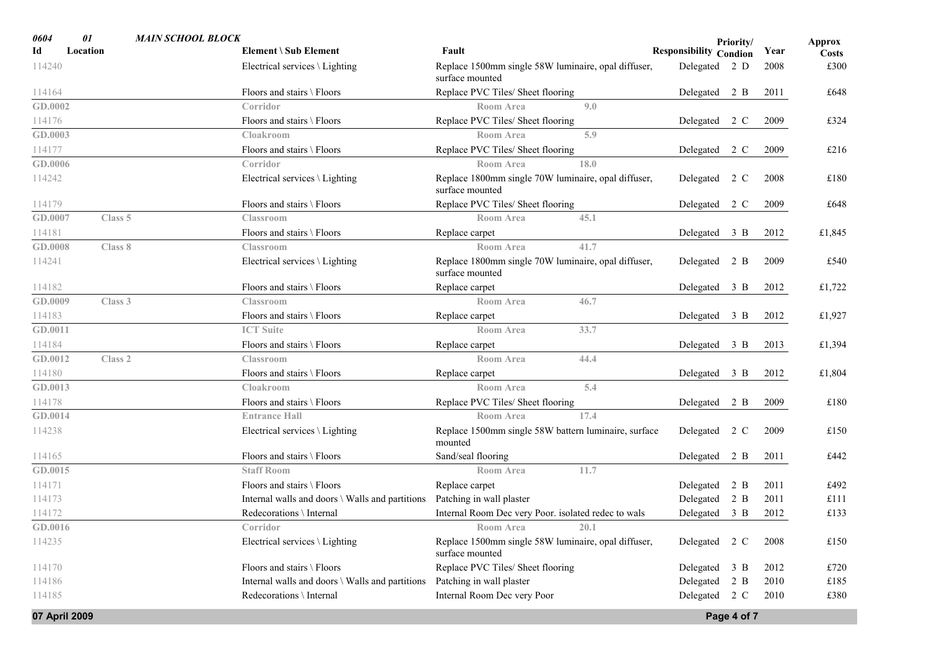| 0604          | 01                 | <b>MAIN SCHOOL BLOCK</b> |                                                 |                                                                        |                               | Priority/   |      | Approx       |
|---------------|--------------------|--------------------------|-------------------------------------------------|------------------------------------------------------------------------|-------------------------------|-------------|------|--------------|
| Id            | Location           |                          | Element \ Sub Element                           | Fault                                                                  | <b>Responsibility Condion</b> |             | Year | <b>Costs</b> |
| 114240        |                    |                          | Electrical services $\setminus$ Lighting        | Replace 1500mm single 58W luminaire, opal diffuser,<br>surface mounted | Delegated 2 D                 |             | 2008 | £300         |
| 114164        |                    |                          | Floors and stairs \ Floors                      | Replace PVC Tiles/ Sheet flooring                                      | Delegated 2 B                 |             | 2011 | £648         |
| GD.0002       |                    |                          | Corridor                                        | Room Area<br>9.0                                                       |                               |             |      |              |
| 114176        |                    |                          | Floors and stairs \ Floors                      | Replace PVC Tiles/ Sheet flooring                                      | Delegated 2 C                 |             | 2009 | £324         |
| GD.0003       |                    |                          | Cloakroom                                       | 5.9<br>Room Area                                                       |                               |             |      |              |
| 114177        |                    |                          | Floors and stairs \ Floors                      | Replace PVC Tiles/ Sheet flooring                                      | Delegated 2 C                 |             | 2009 | £216         |
| GD.0006       |                    |                          | Corridor                                        | 18.0<br><b>Room Area</b>                                               |                               |             |      |              |
| 114242        |                    |                          | Electrical services \ Lighting                  | Replace 1800mm single 70W luminaire, opal diffuser,<br>surface mounted | Delegated 2 C                 |             | 2008 | £180         |
| 114179        |                    |                          | Floors and stairs \ Floors                      | Replace PVC Tiles/ Sheet flooring                                      | Delegated 2 C                 |             | 2009 | £648         |
| GD.0007       | Class 5            |                          | Classroom                                       | <b>Room Area</b><br>45.1                                               |                               |             |      |              |
| 114181        |                    |                          | Floors and stairs \ Floors                      | Replace carpet                                                         | Delegated 3 B                 |             | 2012 | £1,845       |
| GD.0008       | Class 8            |                          | <b>Classroom</b>                                | 41.7<br>Room Area                                                      |                               |             |      |              |
| 114241        |                    |                          | Electrical services \ Lighting                  | Replace 1800mm single 70W luminaire, opal diffuser,<br>surface mounted | Delegated                     | 2 B         | 2009 | £540         |
| 114182        |                    |                          | Floors and stairs \ Floors                      | Replace carpet                                                         | Delegated 3 B                 |             | 2012 | £1,722       |
| GD.0009       | Class 3            |                          | <b>Classroom</b>                                | 46.7<br><b>Room Area</b>                                               |                               |             |      |              |
| 114183        |                    |                          | Floors and stairs \ Floors                      | Replace carpet                                                         | Delegated 3 B                 |             | 2012 | £1,927       |
| GD.0011       |                    |                          | <b>ICT Suite</b>                                | Room Area<br>33.7                                                      |                               |             |      |              |
| 114184        |                    |                          | Floors and stairs \ Floors                      | Replace carpet                                                         | Delegated 3 B                 |             | 2013 | £1,394       |
| GD.0012       | Class <sub>2</sub> |                          | <b>Classroom</b>                                | <b>Room Area</b><br>44.4                                               |                               |             |      |              |
| 114180        |                    |                          | Floors and stairs \ Floors                      | Replace carpet                                                         | Delegated 3 B                 |             | 2012 | £1,804       |
| GD.0013       |                    |                          | Cloakroom                                       | 5.4<br>Room Area                                                       |                               |             |      |              |
| 114178        |                    |                          | Floors and stairs \ Floors                      | Replace PVC Tiles/ Sheet flooring                                      | Delegated 2 B                 |             | 2009 | £180         |
| GD.0014       |                    |                          | <b>Entrance Hall</b>                            | <b>Room Area</b><br>17.4                                               |                               |             |      |              |
| 114238        |                    |                          | Electrical services $\setminus$ Lighting        | Replace 1500mm single 58W battern luminaire, surface<br>mounted        | Delegated 2 C                 |             | 2009 | £150         |
| 114165        |                    |                          | Floors and stairs \ Floors                      | Sand/seal flooring                                                     | Delegated 2 B                 |             | 2011 | £442         |
| GD.0015       |                    |                          | <b>Staff Room</b>                               | 11.7<br><b>Room Area</b>                                               |                               |             |      |              |
| 114171        |                    |                          | Floors and stairs \ Floors                      | Replace carpet                                                         | Delegated                     | 2 B         | 2011 | £492         |
| 114173        |                    |                          | Internal walls and doors \ Walls and partitions | Patching in wall plaster                                               | Delegated                     | 2 B         | 2011 | £111         |
| 114172        |                    |                          | Redecorations \ Internal                        | Internal Room Dec very Poor. isolated redec to wals                    | Delegated 3 B                 |             | 2012 | £133         |
| GD.0016       |                    |                          | Corridor                                        | <b>Room Area</b><br>20.1                                               |                               |             |      |              |
| 114235        |                    |                          | Electrical services $\setminus$ Lighting        | Replace 1500mm single 58W luminaire, opal diffuser,<br>surface mounted | Delegated 2 C                 |             | 2008 | £150         |
| 114170        |                    |                          | Floors and stairs \ Floors                      | Replace PVC Tiles/ Sheet flooring                                      | Delegated 3 B                 |             | 2012 | £720         |
| 114186        |                    |                          | Internal walls and doors \ Walls and partitions | Patching in wall plaster                                               | Delegated 2 B                 |             | 2010 | £185         |
| 114185        |                    |                          | Redecorations \ Internal                        | Internal Room Dec very Poor                                            | Delegated 2 C                 |             | 2010 | £380         |
| 07 April 2009 |                    |                          |                                                 |                                                                        |                               | Page 4 of 7 |      |              |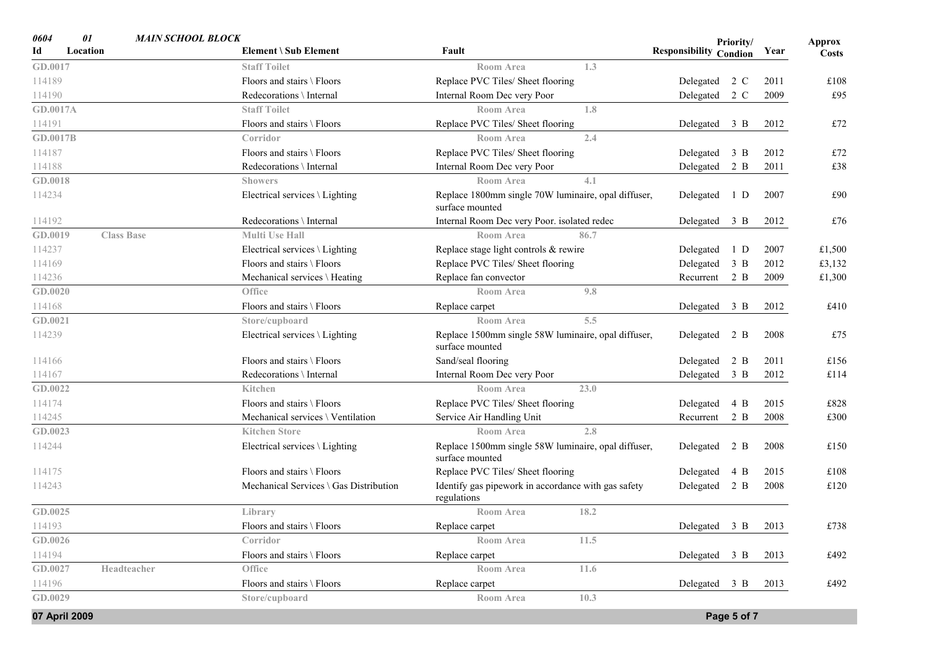| 0604            | 01<br><b>MAIN SCHOOL BLOCK</b> |                                        |                                                                        | Priority/                     | <b>Approx</b>        |
|-----------------|--------------------------------|----------------------------------------|------------------------------------------------------------------------|-------------------------------|----------------------|
| Id              | Location                       | Element \ Sub Element                  | Fault                                                                  | <b>Responsibility Condion</b> | Year<br><b>Costs</b> |
| GD.0017         |                                | <b>Staff Toilet</b>                    | 1.3<br><b>Room Area</b>                                                |                               |                      |
| 114189          |                                | Floors and stairs \ Floors             | Replace PVC Tiles/ Sheet flooring                                      | Delegated 2 C                 | 2011<br>£108         |
| 114190          |                                | Redecorations \ Internal               | Internal Room Dec very Poor                                            | Delegated 2 C                 | £95<br>2009          |
| GD.0017A        |                                | <b>Staff Toilet</b>                    | Room Area<br>1.8                                                       |                               |                      |
| 114191          |                                | Floors and stairs \ Floors             | Replace PVC Tiles/ Sheet flooring                                      | Delegated 3 B                 | £72<br>2012          |
| <b>GD.0017B</b> |                                | Corridor                               | 2.4<br>Room Area                                                       |                               |                      |
| 114187          |                                | Floors and stairs \ Floors             | Replace PVC Tiles/ Sheet flooring                                      | $3 \text{ B}$<br>Delegated    | £72<br>2012          |
| 114188          |                                | Redecorations \ Internal               | Internal Room Dec very Poor                                            | Delegated<br>2 B              | 2011<br>£38          |
| GD.0018         |                                | <b>Showers</b>                         | 4.1<br>Room Area                                                       |                               |                      |
| 114234          |                                | Electrical services \ Lighting         | Replace 1800mm single 70W luminaire, opal diffuser,<br>surface mounted | 1 D<br>Delegated              | £90<br>2007          |
| 114192          |                                | Redecorations \ Internal               | Internal Room Dec very Poor. isolated redec                            | Delegated 3 B                 | 2012<br>£76          |
| GD.0019         | <b>Class Base</b>              | <b>Multi Use Hall</b>                  | 86.7<br><b>Room Area</b>                                               |                               |                      |
| 114237          |                                | Electrical services \ Lighting         | Replace stage light controls & rewire                                  | Delegated<br>1 D              | 2007<br>£1,500       |
| 114169          |                                | Floors and stairs \ Floors             | Replace PVC Tiles/ Sheet flooring                                      | Delegated 3 B                 | 2012<br>£3,132       |
| 114236          |                                | Mechanical services \ Heating          | Replace fan convector                                                  | Recurrent 2 B                 | 2009<br>£1,300       |
| GD.0020         |                                | Office                                 | 9.8<br>Room Area                                                       |                               |                      |
| 114168          |                                | Floors and stairs \ Floors             | Replace carpet                                                         | Delegated 3 B                 | £410<br>2012         |
| GD.0021         |                                | Store/cupboard                         | Room Area<br>5.5                                                       |                               |                      |
| 114239          |                                | Electrical services \ Lighting         | Replace 1500mm single 58W luminaire, opal diffuser,<br>surface mounted | Delegated 2 B                 | £75<br>2008          |
| 114166          |                                | Floors and stairs \ Floors             | Sand/seal flooring                                                     | Delegated<br>2 B              | 2011<br>£156         |
| 114167          |                                | Redecorations \ Internal               | Internal Room Dec very Poor                                            | Delegated 3 B                 | 2012<br>£114         |
| GD.0022         |                                | Kitchen                                | 23.0<br>Room Area                                                      |                               |                      |
| 114174          |                                | Floors and stairs \ Floors             | Replace PVC Tiles/ Sheet flooring                                      | 4 B<br>Delegated              | 2015<br>£828         |
| 114245          |                                | Mechanical services \ Ventilation      | Service Air Handling Unit                                              | 2 B<br>Recurrent              | 2008<br>£300         |
| GD.0023         |                                | <b>Kitchen Store</b>                   | 2.8<br><b>Room Area</b>                                                |                               |                      |
| 114244          |                                | Electrical services \ Lighting         | Replace 1500mm single 58W luminaire, opal diffuser,<br>surface mounted | Delegated 2 B                 | 2008<br>£150         |
| 114175          |                                | Floors and stairs \ Floors             | Replace PVC Tiles/ Sheet flooring                                      | Delegated<br>4 B              | 2015<br>£108         |
| 114243          |                                | Mechanical Services \ Gas Distribution | Identify gas pipework in accordance with gas safety<br>regulations     | Delegated 2 B                 | 2008<br>£120         |
| GD.0025         |                                | Library                                | Room Area<br>18.2                                                      |                               |                      |
| 114193          |                                | Floors and stairs \ Floors             | Replace carpet                                                         | Delegated 3 B 2013            | £738                 |
| GD.0026         |                                | Corridor                               | 11.5<br>Room Area                                                      |                               |                      |
| 114194          |                                | Floors and stairs \ Floors             | Replace carpet                                                         | Delegated 3 B                 | £492<br>2013         |
| GD.0027         | Headteacher                    | Office                                 | 11.6<br>Room Area                                                      |                               |                      |
| 114196          |                                | Floors and stairs \ Floors             | Replace carpet                                                         | Delegated 3 B                 | £492<br>2013         |
| GD.0029         |                                | Store/cupboard                         | 10.3<br>Room Area                                                      |                               |                      |
| 07 April 2009   |                                |                                        |                                                                        | Page 5 of 7                   |                      |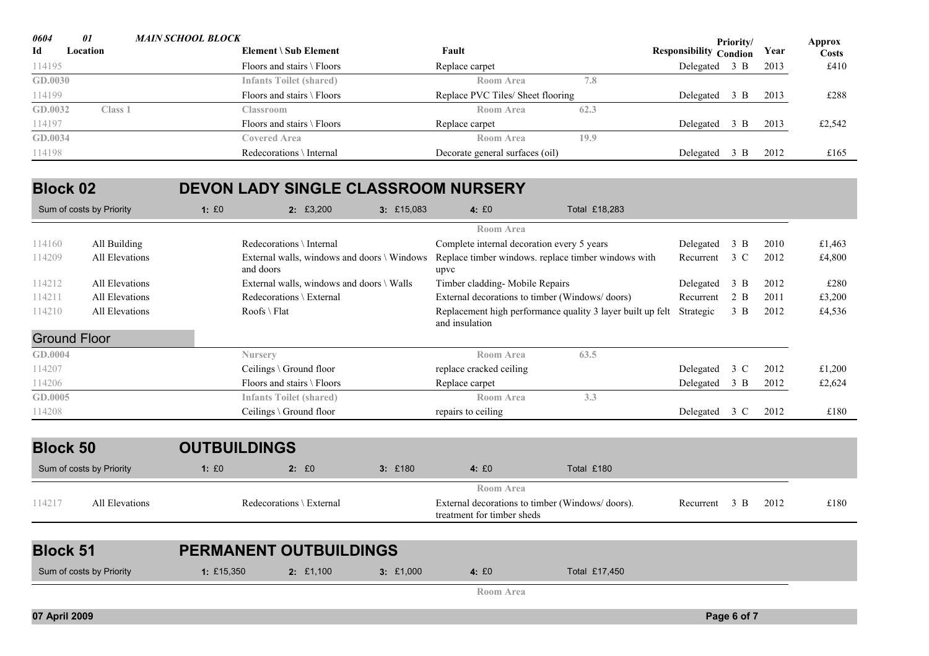| 0604           | 01       | MAIN SCHOOL BLOCK                    |                                   |      |                               | Priority/     |      | Approx       |
|----------------|----------|--------------------------------------|-----------------------------------|------|-------------------------------|---------------|------|--------------|
| Id             | Location | Element \ Sub Element                | Fault                             |      | <b>Responsibility Condion</b> |               | Year | <b>Costs</b> |
| 114195         |          | Floors and stairs $\Gamma$ Floors    | Replace carpet                    |      | Delegated                     | 3 B           | 2013 | £410         |
| <b>GD.0030</b> |          | <b>Infants Toilet (shared)</b>       | Room Area                         | 7.8  |                               |               |      |              |
| 114199         |          | Floors and stairs $\Gamma$ Floors    | Replace PVC Tiles/ Sheet flooring |      | Delegated                     | 3 B           | 2013 | £288         |
| GD.0032        | Class 1  | Classroom                            | Room Area                         | 62.3 |                               |               |      |              |
| 114197         |          | Floors and stairs $\setminus$ Floors | Replace carpet                    |      | Delegated                     | 3 B           | 2013 | £2,542       |
| GD.0034        |          | Covered Area                         | Room Area                         | 19.9 |                               |               |      |              |
| 114198         |          | Redecorations \ Internal             | Decorate general surfaces (oil)   |      | Delegated                     | $3 \text{ B}$ | 2012 | £165         |

#### **Block 02DEVON LADY SINGLE CLASSROOM NURSERY**

|                     | Sum of costs by Priority | 1: E0      | 2:£3,200                                                 | $3:$ £15,083 | 4:£0                                                                          | Total £18,283                                              |           |                |      |        |
|---------------------|--------------------------|------------|----------------------------------------------------------|--------------|-------------------------------------------------------------------------------|------------------------------------------------------------|-----------|----------------|------|--------|
|                     |                          |            |                                                          |              | <b>Room Area</b>                                                              |                                                            |           |                |      |        |
| 114160              | All Building             |            | Redecorations \ Internal                                 |              | Complete internal decoration every 5 years                                    |                                                            | Delegated | 3 B            | 2010 | £1,463 |
| 114209              | All Elevations           |            | External walls, windows and doors \ Windows<br>and doors |              | upvc                                                                          | Replace timber windows. replace timber windows with        | Recurrent | 3 C            | 2012 | £4,800 |
| 114212              | All Elevations           |            | External walls, windows and doors \ Walls                |              | Timber cladding- Mobile Repairs                                               |                                                            | Delegated | 3 B            | 2012 | £280   |
| 114211              | All Elevations           |            | Redecorations \ External                                 |              | External decorations to timber (Windows/doors)                                |                                                            | Recurrent | 2 B            | 2011 | £3,200 |
| 114210              | All Elevations           |            | $Roots \setminus Flat$                                   |              | and insulation                                                                | Replacement high performance quality 3 layer built up felt | Strategic | $3 \text{ } B$ | 2012 | £4,536 |
| <b>Ground Floor</b> |                          |            |                                                          |              |                                                                               |                                                            |           |                |      |        |
| GD.0004             |                          |            | <b>Nursery</b>                                           |              | <b>Room Area</b>                                                              | 63.5                                                       |           |                |      |        |
| 114207              |                          |            | Ceilings \ Ground floor                                  |              | replace cracked ceiling                                                       |                                                            | Delegated | 3 C            | 2012 | £1,200 |
| 114206              |                          |            | Floors and stairs \ Floors                               |              | Replace carpet                                                                |                                                            | Delegated | $3 \text{ B}$  | 2012 | £2,624 |
| GD.0005             |                          |            | <b>Infants Toilet (shared)</b>                           |              | Room Area                                                                     | 3.3                                                        |           |                |      |        |
| 114208              |                          |            | Ceilings \ Ground floor                                  |              | repairs to ceiling                                                            |                                                            | Delegated | 3 C            | 2012 | £180   |
| <b>Block 50</b>     |                          |            | <b>OUTBUILDINGS</b>                                      |              |                                                                               |                                                            |           |                |      |        |
|                     |                          |            |                                                          |              |                                                                               |                                                            |           |                |      |        |
|                     | Sum of costs by Priority | 1: E0      | 2: E0                                                    | 3:£180       | 4:£0                                                                          | Total £180                                                 |           |                |      |        |
|                     |                          |            |                                                          |              | <b>Room Area</b>                                                              |                                                            |           |                |      |        |
| 114217              | All Elevations           |            | Redecorations \ External                                 |              | External decorations to timber (Windows/doors).<br>treatment for timber sheds |                                                            | Recurrent | $3 \text{ B}$  | 2012 | £180   |
|                     |                          |            |                                                          |              |                                                                               |                                                            |           |                |      |        |
| <b>Block 51</b>     |                          |            | <b>PERMANENT OUTBUILDINGS</b>                            |              |                                                                               |                                                            |           |                |      |        |
|                     | Sum of costs by Priority | 1: £15,350 | $2:$ £1,100                                              | 3:£1,000     | 4:£0                                                                          | Total £17,450                                              |           |                |      |        |
|                     |                          |            |                                                          |              |                                                                               |                                                            |           |                |      |        |

**Room Area**